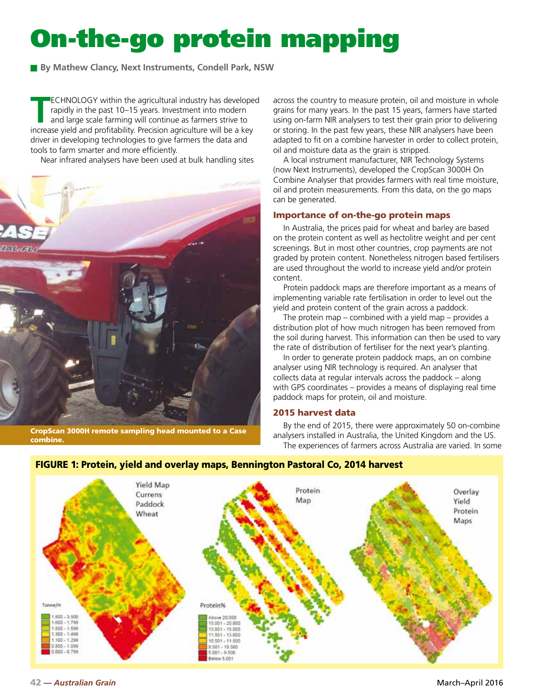# On-the-go protein mapping

■ By Mathew Clancy, Next Instruments, Condell Park, NSW

**TECHNOLOGY** within the agricultural industry has developed<br>rapidly in the past 10–15 years. Investment into modern<br>and large scale farming will continue as farmers strive to<br>increase viold and profitability. Precision agr rapidly in the past 10–15 years. Investment into modern and large scale farming will continue as farmers strive to increase yield and profitability. Precision agriculture will be a key driver in developing technologies to give farmers the data and tools to farm smarter and more efficiently.

Near infrared analysers have been used at bulk handling sites



CropScan 3000H remote sampling head mounted to a Case combine.

across the country to measure protein, oil and moisture in whole grains for many years. In the past 15 years, farmers have started using on-farm NIR analysers to test their grain prior to delivering or storing. In the past few years, these NIR analysers have been adapted to fit on a combine harvester in order to collect protein, oil and moisture data as the grain is stripped.

A local instrument manufacturer, NIR Technology Systems (now Next Instruments), developed the CropScan 3000H On Combine Analyser that provides farmers with real time moisture, oil and protein measurements. From this data, on the go maps can be generated.

## Importance of on-the-go protein maps

In Australia, the prices paid for wheat and barley are based on the protein content as well as hectolitre weight and per cent screenings. But in most other countries, crop payments are not graded by protein content. Nonetheless nitrogen based fertilisers are used throughout the world to increase yield and/or protein content.

Protein paddock maps are therefore important as a means of implementing variable rate fertilisation in order to level out the yield and protein content of the grain across a paddock.

The protein map – combined with a yield map – provides a distribution plot of how much nitrogen has been removed from the soil during harvest. This information can then be used to vary the rate of distribution of fertiliser for the next year's planting.

In order to generate protein paddock maps, an on combine analyser using NIR technology is required. An analyser that collects data at regular intervals across the paddock – along with GPS coordinates – provides a means of displaying real time paddock maps for protein, oil and moisture.

# 2015 harvest data

By the end of 2015, there were approximately 50 on-combine analysers installed in Australia, the United Kingdom and the US. The experiences of farmers across Australia are varied. In some



# FIGURE 1: Protein, yield and overlay maps, Bennington Pastoral Co, 2014 harvest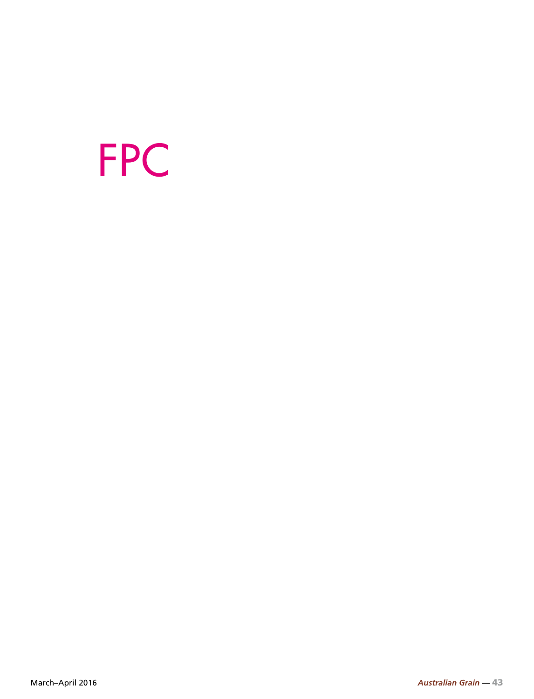